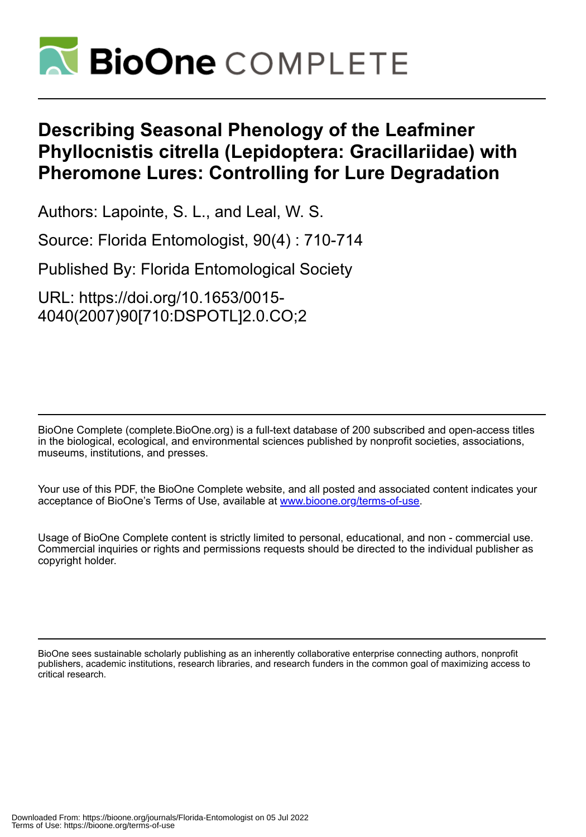

# **Describing Seasonal Phenology of the Leafminer Phyllocnistis citrella (Lepidoptera: Gracillariidae) with Pheromone Lures: Controlling for Lure Degradation**

Authors: Lapointe, S. L., and Leal, W. S.

Source: Florida Entomologist, 90(4) : 710-714

Published By: Florida Entomological Society

URL: https://doi.org/10.1653/0015- 4040(2007)90[710:DSPOTL]2.0.CO;2

BioOne Complete (complete.BioOne.org) is a full-text database of 200 subscribed and open-access titles in the biological, ecological, and environmental sciences published by nonprofit societies, associations, museums, institutions, and presses.

Your use of this PDF, the BioOne Complete website, and all posted and associated content indicates your acceptance of BioOne's Terms of Use, available at www.bioone.org/terms-of-use.

Usage of BioOne Complete content is strictly limited to personal, educational, and non - commercial use. Commercial inquiries or rights and permissions requests should be directed to the individual publisher as copyright holder.

BioOne sees sustainable scholarly publishing as an inherently collaborative enterprise connecting authors, nonprofit publishers, academic institutions, research libraries, and research funders in the common goal of maximizing access to critical research.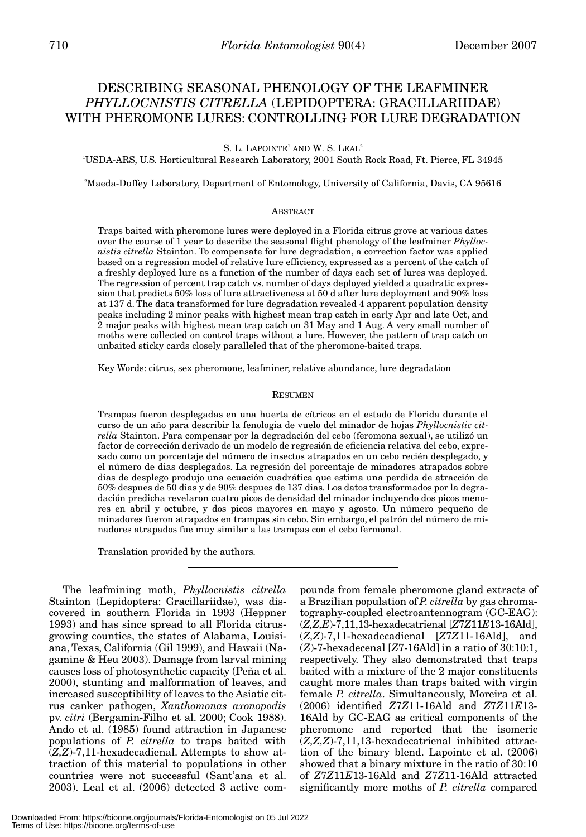## DESCRIBING SEASONAL PHENOLOGY OF THE LEAFMINER *PHYLLOCNISTIS CITRELLA* (LEPIDOPTERA: GRACILLARIIDAE) WITH PHEROMONE LURES: CONTROLLING FOR LURE DEGRADATION

S. L. LAPOINTE<sup>1</sup> AND W. S. LEAL<sup>2</sup>

1 USDA-ARS, U.S. Horticultural Research Laboratory, 2001 South Rock Road, Ft. Pierce, FL 34945

2 Maeda-Duffey Laboratory, Department of Entomology, University of California, Davis, CA 95616

### **ABSTRACT**

Traps baited with pheromone lures were deployed in a Florida citrus grove at various dates over the course of 1 year to describe the seasonal flight phenology of the leafminer *Phyllocnistis citrella* Stainton. To compensate for lure degradation, a correction factor was applied based on a regression model of relative lure efficiency, expressed as a percent of the catch of a freshly deployed lure as a function of the number of days each set of lures was deployed. The regression of percent trap catch vs. number of days deployed yielded a quadratic expression that predicts 50% loss of lure attractiveness at 50 d after lure deployment and 90% loss at 137 d. The data transformed for lure degradation revealed 4 apparent population density peaks including 2 minor peaks with highest mean trap catch in early Apr and late Oct, and 2 major peaks with highest mean trap catch on 31 May and 1 Aug. A very small number of moths were collected on control traps without a lure. However, the pattern of trap catch on unbaited sticky cards closely paralleled that of the pheromone-baited traps.

Key Words: citrus, sex pheromone, leafminer, relative abundance, lure degradation

#### RESUMEN

Trampas fueron desplegadas en una huerta de cítricos en el estado de Florida durante el curso de un año para describir la fenologia de vuelo del minador de hojas *Phyllocnistic citrella* Stainton. Para compensar por la degradación del cebo (feromona sexual), se utilizó un factor de corrección derivado de un modelo de regresión de eficiencia relativa del cebo, expresado como un porcentaje del número de insectos atrapados en un cebo recién desplegado, y el número de dias desplegados. La regresión del porcentaje de minadores atrapados sobre dias de desplego produjo una ecuación cuadrática que estima una perdida de atracción de 50% despues de 50 dias y de 90% despues de 137 dias. Los datos transformados por la degradación predicha revelaron cuatro picos de densidad del minador incluyendo dos picos menores en abril y octubre, y dos picos mayores en mayo y agosto. Un número pequeño de minadores fueron atrapados en trampas sin cebo. Sin embargo, el patrón del número de minadores atrapados fue muy similar a las trampas con el cebo fermonal.

Translation provided by the authors.

The leafmining moth, *Phyllocnistis citrella* Stainton (Lepidoptera: Gracillariidae), was discovered in southern Florida in 1993 (Heppner 1993) and has since spread to all Florida citrusgrowing counties, the states of Alabama, Louisiana, Texas, California (Gil 1999), and Hawaii (Nagamine & Heu 2003). Damage from larval mining causes loss of photosynthetic capacity (Peña et al. 2000), stunting and malformation of leaves, and increased susceptibility of leaves to the Asiatic citrus canker pathogen, *Xanthomonas axonopodis* pv. *citri* (Bergamin-Filho et al. 2000; Cook 1988). Ando et al. (1985) found attraction in Japanese populations of *P. citrella* to traps baited with (*Z,Z*)-7,11-hexadecadienal. Attempts to show attraction of this material to populations in other countries were not successful (Sant'ana et al. 2003). Leal et al. (2006) detected 3 active com-

pounds from female pheromone gland extracts of a Brazilian population of *P. citrella* by gas chromatography-coupled electroantennogram (GC-EAG): (*Z,Z,E*)-7,11,13-hexadecatrienal [*Z*7*Z*11*E*13-16Ald], (*Z,Z*)-7,11-hexadecadienal [*Z*7*Z*11-16Ald], and (*Z*)-7-hexadecenal [*Z*7-16Ald] in a ratio of 30:10:1, respectively. They also demonstrated that traps baited with a mixture of the 2 major constituents caught more males than traps baited with virgin female *P. citrella*. Simultaneously, Moreira et al. (2006) identified *Z*7*Z*11-16Ald and *Z*7*Z*11*E*13- 16Ald by GC-EAG as critical components of the pheromone and reported that the isomeric (*Z,Z,Z*)-7,11,13-hexadecatrienal inhibited attraction of the binary blend. Lapointe et al. (2006) showed that a binary mixture in the ratio of 30:10 of *Z*7*Z*11*E*13-16Ald and *Z*7*Z*11-16Ald attracted significantly more moths of *P. citrella* compared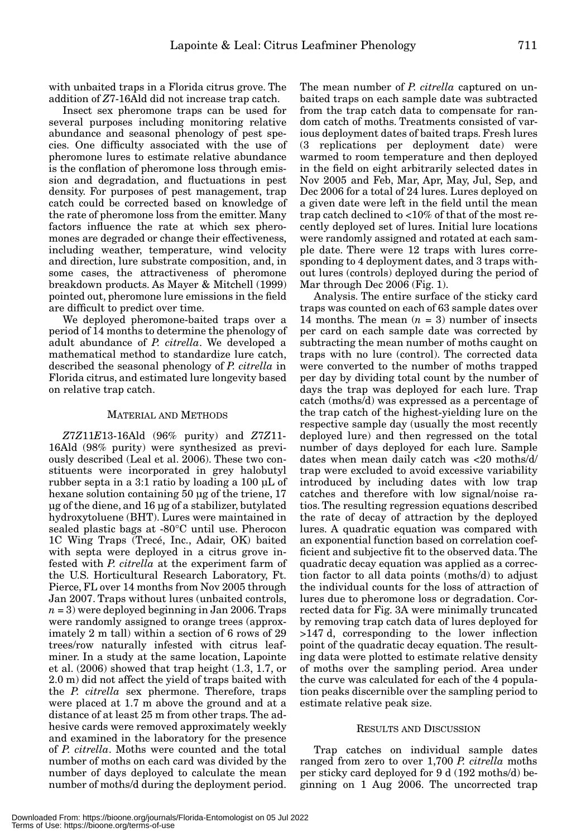with unbaited traps in a Florida citrus grove. The addition of *Z*7-16Ald did not increase trap catch.

Insect sex pheromone traps can be used for several purposes including monitoring relative abundance and seasonal phenology of pest species. One difficulty associated with the use of pheromone lures to estimate relative abundance is the conflation of pheromone loss through emission and degradation, and fluctuations in pest density. For purposes of pest management, trap catch could be corrected based on knowledge of the rate of pheromone loss from the emitter. Many factors influence the rate at which sex pheromones are degraded or change their effectiveness, including weather, temperature, wind velocity and direction, lure substrate composition, and, in some cases, the attractiveness of pheromone breakdown products. As Mayer & Mitchell (1999) pointed out, pheromone lure emissions in the field are difficult to predict over time.

We deployed pheromone-baited traps over a period of 14 months to determine the phenology of adult abundance of *P. citrella*. We developed a mathematical method to standardize lure catch, described the seasonal phenology of *P. citrella* in Florida citrus, and estimated lure longevity based on relative trap catch.

#### MATERIAL AND METHODS

*Z*7*Z*11*E*13-16Ald (96% purity) and *Z*7*Z*11- 16Ald (98% purity) were synthesized as previously described (Leal et al. 2006). These two constituents were incorporated in grey halobutyl rubber septa in a 3:1 ratio by loading a 100 µL of hexane solution containing 50 µg of the triene, 17 µg of the diene, and 16 µg of a stabilizer, butylated hydroxytoluene (BHT). Lures were maintained in sealed plastic bags at -80°C until use. Pherocon 1C Wing Traps (Trecé, Inc., Adair, OK) baited with septa were deployed in a citrus grove infested with *P. citrella* at the experiment farm of the U.S. Horticultural Research Laboratory, Ft. Pierce, FL over 14 months from Nov 2005 through Jan 2007. Traps without lures (unbaited controls, *n* = 3) were deployed beginning in Jan 2006. Traps were randomly assigned to orange trees (approximately 2 m tall) within a section of 6 rows of 29 trees/row naturally infested with citrus leafminer. In a study at the same location, Lapointe et al. (2006) showed that trap height (1.3, 1.7, or 2.0 m) did not affect the yield of traps baited with the *P. citrella* sex phermone. Therefore, traps were placed at 1.7 m above the ground and at a distance of at least 25 m from other traps. The adhesive cards were removed approximately weekly and examined in the laboratory for the presence of *P. citrella*. Moths were counted and the total number of moths on each card was divided by the number of days deployed to calculate the mean number of moths/d during the deployment period.

The mean number of *P. citrella* captured on unbaited traps on each sample date was subtracted from the trap catch data to compensate for random catch of moths. Treatments consisted of various deployment dates of baited traps. Fresh lures (3 replications per deployment date) were warmed to room temperature and then deployed in the field on eight arbitrarily selected dates in Nov 2005 and Feb, Mar, Apr, May, Jul, Sep, and Dec 2006 for a total of 24 lures. Lures deployed on a given date were left in the field until the mean trap catch declined to <10% of that of the most recently deployed set of lures. Initial lure locations were randomly assigned and rotated at each sample date. There were 12 traps with lures corresponding to 4 deployment dates, and 3 traps without lures (controls) deployed during the period of Mar through Dec 2006 (Fig. 1).

Analysis. The entire surface of the sticky card traps was counted on each of 63 sample dates over 14 months. The mean  $(n = 3)$  number of insects per card on each sample date was corrected by subtracting the mean number of moths caught on traps with no lure (control). The corrected data were converted to the number of moths trapped per day by dividing total count by the number of days the trap was deployed for each lure. Trap catch (moths/d) was expressed as a percentage of the trap catch of the highest-yielding lure on the respective sample day (usually the most recently deployed lure) and then regressed on the total number of days deployed for each lure. Sample dates when mean daily catch was <20 moths/d/ trap were excluded to avoid excessive variability introduced by including dates with low trap catches and therefore with low signal/noise ratios. The resulting regression equations described the rate of decay of attraction by the deployed lures. A quadratic equation was compared with an exponential function based on correlation coefficient and subjective fit to the observed data. The quadratic decay equation was applied as a correction factor to all data points (moths/d) to adjust the individual counts for the loss of attraction of lures due to pheromone loss or degradation. Corrected data for Fig. 3A were minimally truncated by removing trap catch data of lures deployed for >147 d, corresponding to the lower inflection point of the quadratic decay equation. The resulting data were plotted to estimate relative density of moths over the sampling period. Area under the curve was calculated for each of the 4 population peaks discernible over the sampling period to estimate relative peak size.

#### RESULTS AND DISCUSSION

Trap catches on individual sample dates ranged from zero to over 1,700 *P. citrella* moths per sticky card deployed for 9 d (192 moths/d) beginning on 1 Aug 2006. The uncorrected trap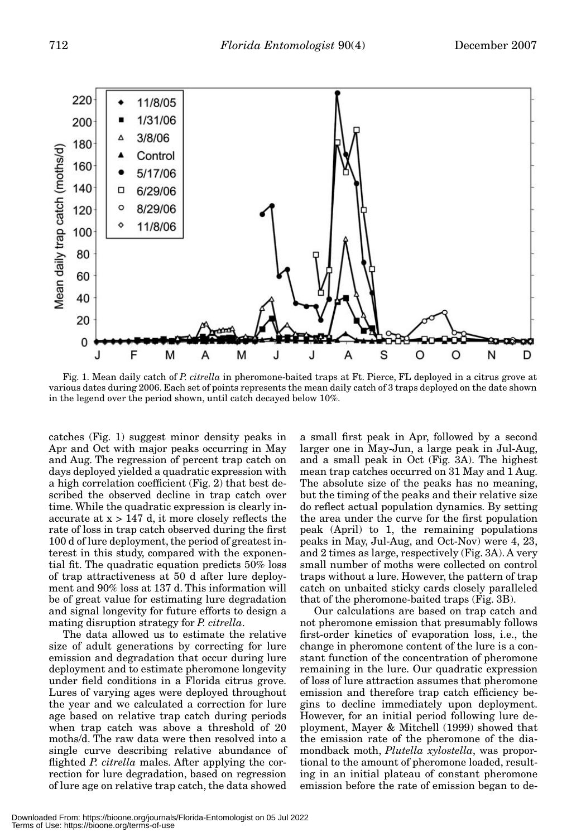

Fig. 1. Mean daily catch of *P. citrella* in pheromone-baited traps at Ft. Pierce, FL deployed in a citrus grove at various dates during 2006. Each set of points represents the mean daily catch of 3 traps deployed on the date shown in the legend over the period shown, until catch decayed below 10%.

catches (Fig. 1) suggest minor density peaks in Apr and Oct with major peaks occurring in May and Aug. The regression of percent trap catch on days deployed yielded a quadratic expression with a high correlation coefficient (Fig. 2) that best described the observed decline in trap catch over time. While the quadratic expression is clearly inaccurate at  $x > 147$  d, it more closely reflects the rate of loss in trap catch observed during the first 100 d of lure deployment, the period of greatest interest in this study, compared with the exponential fit. The quadratic equation predicts 50% loss of trap attractiveness at 50 d after lure deployment and 90% loss at 137 d. This information will be of great value for estimating lure degradation and signal longevity for future efforts to design a mating disruption strategy for *P. citrella*.

The data allowed us to estimate the relative size of adult generations by correcting for lure emission and degradation that occur during lure deployment and to estimate pheromone longevity under field conditions in a Florida citrus grove. Lures of varying ages were deployed throughout the year and we calculated a correction for lure age based on relative trap catch during periods when trap catch was above a threshold of 20 moths/d. The raw data were then resolved into a single curve describing relative abundance of flighted *P. citrella* males. After applying the correction for lure degradation, based on regression of lure age on relative trap catch, the data showed

a small first peak in Apr, followed by a second larger one in May-Jun, a large peak in Jul-Aug, and a small peak in Oct (Fig. 3A). The highest mean trap catches occurred on 31 May and 1 Aug. The absolute size of the peaks has no meaning, but the timing of the peaks and their relative size do reflect actual population dynamics. By setting the area under the curve for the first population peak (April) to 1, the remaining populations peaks in May, Jul-Aug, and Oct-Nov) were 4, 23, and 2 times as large, respectively (Fig. 3A). A very small number of moths were collected on control traps without a lure. However, the pattern of trap catch on unbaited sticky cards closely paralleled that of the pheromone-baited traps (Fig. 3B).

Our calculations are based on trap catch and not pheromone emission that presumably follows first-order kinetics of evaporation loss, i.e., the change in pheromone content of the lure is a constant function of the concentration of pheromone remaining in the lure. Our quadratic expression of loss of lure attraction assumes that pheromone emission and therefore trap catch efficiency begins to decline immediately upon deployment. However, for an initial period following lure deployment, Mayer & Mitchell (1999) showed that the emission rate of the pheromone of the diamondback moth, *Plutella xylostella*, was proportional to the amount of pheromone loaded, resulting in an initial plateau of constant pheromone emission before the rate of emission began to de-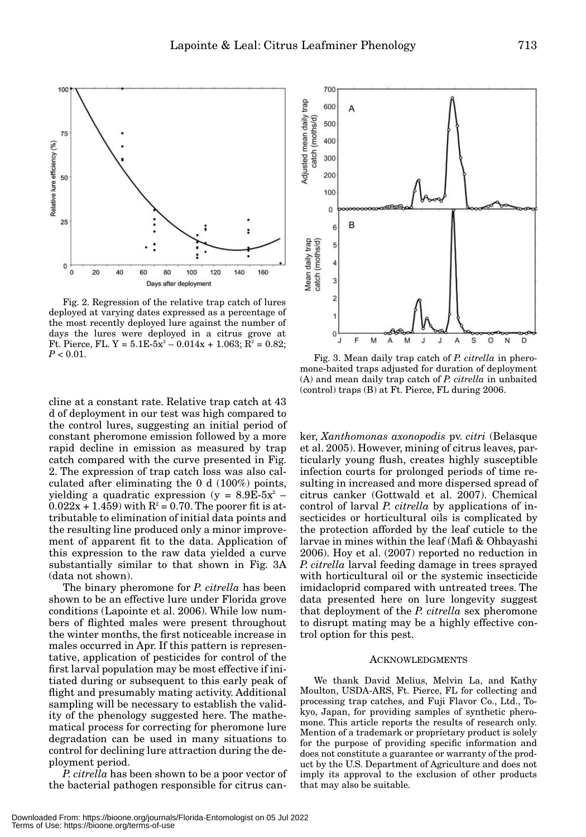

Fig. 2. Regression of the relative trap catch of lures deployed at varying dates expressed as a percentage of the most recently deployed lure against the number of days the lures were deployed in a citrus grove at Ft. Pierce, FL. Y =  $5.1E-5x^2 - 0.014x + 1.063$ ;  $R^2 = 0.82$ ; *P* < 0.01. Fig. 3. Mean daily trap catch of *P. citrella* in phero-

cline at a constant rate. Relative trap catch at 43 d of deployment in our test was high compared to the control lures, suggesting an initial period of constant pheromone emission followed by a more rapid decline in emission as measured by trap catch compared with the curve presented in Fig. 2. The expression of trap catch loss was also calculated after eliminating the 0 d (100%) points, yielding a quadratic expression (y =  $8.9E\text{-}5x^2$  –  $0.022x + 1.459$  with  $R^2 = 0.70$ . The poorer fit is attributable to elimination of initial data points and the resulting line produced only a minor improvement of apparent fit to the data. Application of this expression to the raw data yielded a curve substantially similar to that shown in Fig. 3A (data not shown).

The binary pheromone for *P. citrella* has been shown to be an effective lure under Florida grove conditions (Lapointe et al. 2006). While low numbers of flighted males were present throughout the winter months, the first noticeable increase in males occurred in Apr. If this pattern is representative, application of pesticides for control of the first larval population may be most effective if initiated during or subsequent to this early peak of flight and presumably mating activity. Additional sampling will be necessary to establish the validity of the phenology suggested here. The mathematical process for correcting for pheromone lure degradation can be used in many situations to control for declining lure attraction during the deployment period.

*P. citrella* has been shown to be a poor vector of the bacterial pathogen responsible for citrus can-



mone-baited traps adjusted for duration of deployment (A) and mean daily trap catch of *P. citrella* in unbaited (control) traps (B) at Ft. Pierce, FL during 2006.

ker, *Xanthomonas axonopodis* pv. *citri* (Belasque et al. 2005). However, mining of citrus leaves, particularly young flush, creates highly susceptible infection courts for prolonged periods of time resulting in increased and more dispersed spread of citrus canker (Gottwald et al. 2007). Chemical control of larval *P. citrella* by applications of insecticides or horticultural oils is complicated by the protection afforded by the leaf cuticle to the larvae in mines within the leaf (Mafi & Ohbayashi 2006). Hoy et al. (2007) reported no reduction in *P. citrella* larval feeding damage in trees sprayed with horticultural oil or the systemic insecticide imidacloprid compared with untreated trees. The data presented here on lure longevity suggest that deployment of the *P. citrella* sex pheromone to disrupt mating may be a highly effective control option for this pest.

#### ACKNOWLEDGMENTS

We thank David Melius, Melvin La, and Kathy Moulton, USDA-ARS, Ft. Pierce, FL for collecting and processing trap catches, and Fuji Flavor Co., Ltd., Tokyo, Japan, for providing samples of synthetic pheromone. This article reports the results of research only. Mention of a trademark or proprietary product is solely for the purpose of providing specific information and does not constitute a guarantee or warranty of the product by the U.S. Department of Agriculture and does not imply its approval to the exclusion of other products that may also be suitable.